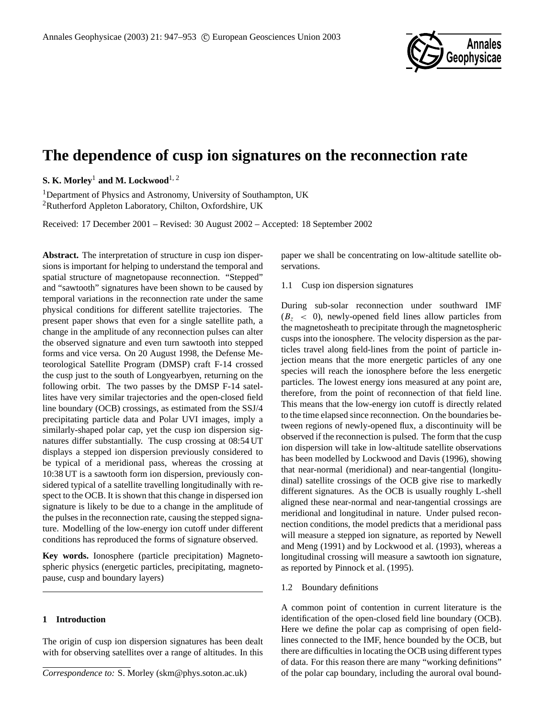

# **The dependence of cusp ion signatures on the reconnection rate**

**S. K. Morley**<sup>1</sup> **and M. Lockwood**1, 2

<sup>1</sup>Department of Physics and Astronomy, University of Southampton, UK <sup>2</sup>Rutherford Appleton Laboratory, Chilton, Oxfordshire, UK

Received: 17 December 2001 – Revised: 30 August 2002 – Accepted: 18 September 2002

**Abstract.** The interpretation of structure in cusp ion dispersions is important for helping to understand the temporal and spatial structure of magnetopause reconnection. "Stepped" and "sawtooth" signatures have been shown to be caused by temporal variations in the reconnection rate under the same physical conditions for different satellite trajectories. The present paper shows that even for a single satellite path, a change in the amplitude of any reconnection pulses can alter the observed signature and even turn sawtooth into stepped forms and vice versa. On 20 August 1998, the Defense Meteorological Satellite Program (DMSP) craft F-14 crossed the cusp just to the south of Longyearbyen, returning on the following orbit. The two passes by the DMSP F-14 satellites have very similar trajectories and the open-closed field line boundary (OCB) crossings, as estimated from the SSJ/4 precipitating particle data and Polar UVI images, imply a similarly-shaped polar cap, yet the cusp ion dispersion signatures differ substantially. The cusp crossing at 08:54 UT displays a stepped ion dispersion previously considered to be typical of a meridional pass, whereas the crossing at 10:38 UT is a sawtooth form ion dispersion, previously considered typical of a satellite travelling longitudinally with respect to the OCB. It is shown that this change in dispersed ion signature is likely to be due to a change in the amplitude of the pulses in the reconnection rate, causing the stepped signature. Modelling of the low-energy ion cutoff under different conditions has reproduced the forms of signature observed.

**Key words.** Ionosphere (particle precipitation) Magnetospheric physics (energetic particles, precipitating, magnetopause, cusp and boundary layers)

## **1 Introduction**

The origin of cusp ion dispersion signatures has been dealt with for observing satellites over a range of altitudes. In this paper we shall be concentrating on low-altitude satellite observations.

1.1 Cusp ion dispersion signatures

During sub-solar reconnection under southward IMF  $(B<sub>z</sub> < 0)$ , newly-opened field lines allow particles from the magnetosheath to precipitate through the magnetospheric cusps into the ionosphere. The velocity dispersion as the particles travel along field-lines from the point of particle injection means that the more energetic particles of any one species will reach the ionosphere before the less energetic particles. The lowest energy ions measured at any point are, therefore, from the point of reconnection of that field line. This means that the low-energy ion cutoff is directly related to the time elapsed since reconnection. On the boundaries between regions of newly-opened flux, a discontinuity will be observed if the reconnection is pulsed. The form that the cusp ion dispersion will take in low-altitude satellite observations has been modelled by Lockwood and Davis (1996), showing that near-normal (meridional) and near-tangential (longitudinal) satellite crossings of the OCB give rise to markedly different signatures. As the OCB is usually roughly L-shell aligned these near-normal and near-tangential crossings are meridional and longitudinal in nature. Under pulsed reconnection conditions, the model predicts that a meridional pass will measure a stepped ion signature, as reported by Newell and Meng (1991) and by Lockwood et al. (1993), whereas a longitudinal crossing will measure a sawtooth ion signature, as reported by Pinnock et al. (1995).

## 1.2 Boundary definitions

A common point of contention in current literature is the identification of the open-closed field line boundary (OCB). Here we define the polar cap as comprising of open fieldlines connected to the IMF, hence bounded by the OCB, but there are difficulties in locating the OCB using different types of data. For this reason there are many "working definitions" of the polar cap boundary, including the auroral oval bound-

*Correspondence to:* S. Morley (skm@phys.soton.ac.uk)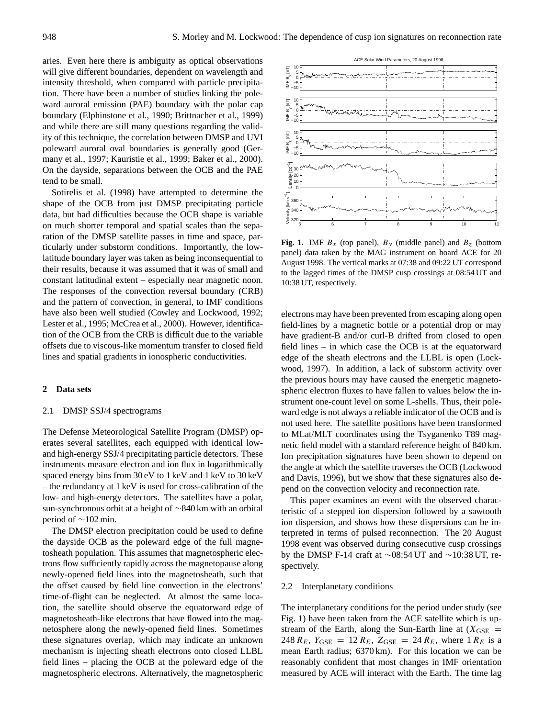aries. Even here there is ambiguity as optical observations will give different boundaries, dependent on wavelength and intensity threshold, when compared with particle precipitation. There have been a number of studies linking the poleward auroral emission (PAE) boundary with the polar cap boundary (Elphinstone et al., 1990; Brittnacher et al., 1999) and while there are still many questions regarding the validity of this technique, the correlation between DMSP and UVI poleward auroral oval boundaries is generally good (Germany et al., 1997; Kauristie et al., 1999; Baker et al., 2000). On the dayside, separations between the OCB and the PAE tend to be small.

Sotirelis et al. (1998) have attempted to determine the shape of the OCB from just DMSP precipitating particle data, but had difficulties because the OCB shape is variable on much shorter temporal and spatial scales than the separation of the DMSP satellite passes in time and space, particularly under substorm conditions. Importantly, the lowlatitude boundary layer was taken as being inconsequential to their results, because it was assumed that it was of small and constant latitudinal extent – especially near magnetic noon. The responses of the convection reversal boundary (CRB) and the pattern of convection, in general, to IMF conditions have also been well studied (Cowley and Lockwood, 1992; Lester et al., 1995; McCrea et al., 2000). However, identification of the OCB from the CRB is difficult due to the variable offsets due to viscous-like momentum transfer to closed field lines and spatial gradients in ionospheric conductivities.

### **2 Data sets**

#### 2.1 DMSP SSJ/4 spectrograms

The Defense Meteorological Satellite Program (DMSP) operates several satellites, each equipped with identical lowand high-energy SSJ/4 precipitating particle detectors. These instruments measure electron and ion flux in logarithmically spaced energy bins from 30 eV to 1 keV and 1 keV to 30 keV – the redundancy at 1 keV is used for cross-calibration of the low- and high-energy detectors. The satellites have a polar, sun-synchronous orbit at a height of ∼840 km with an orbital period of ∼102 min.

The DMSP electron precipitation could be used to define the dayside OCB as the poleward edge of the full magnetosheath population. This assumes that magnetospheric electrons flow sufficiently rapidly across the magnetopause along newly-opened field lines into the magnetosheath, such that the offset caused by field line convection in the electrons' time-of-flight can be neglected. At almost the same location, the satellite should observe the equatorward edge of magnetosheath-like electrons that have flowed into the magnetosphere along the newly-opened field lines. Sometimes these signatures overlap, which may indicate an unknown mechanism is injecting sheath electrons onto closed LLBL field lines – placing the OCB at the poleward edge of the magnetospheric electrons. Alternatively, the magnetospheric



**Fig. 1.** IMF  $B_x$  (top panel),  $B_y$  (middle panel) and  $B_z$  (bottom panel) data taken by the MAG instrument on board ACE for 20 August 1998. The vertical marks at 07:38 and 09:22 UT correspond to the lagged times of the DMSP cusp crossings at 08:54 UT and 10:38 UT, respectively.

electrons may have been prevented from escaping along open field-lines by a magnetic bottle or a potential drop or may have gradient-B and/or curl-B drifted from closed to open field lines – in which case the OCB is at the equatorward edge of the sheath electrons and the LLBL is open (Lockwood, 1997). In addition, a lack of substorm activity over the previous hours may have caused the energetic magnetospheric electron fluxes to have fallen to values below the instrument one-count level on some L-shells. Thus, their poleward edge is not always a reliable indicator of the OCB and is not used here. The satellite positions have been transformed to MLat/MLT coordinates using the Tsyganenko T89 magnetic field model with a standard reference height of 840 km. Ion precipitation signatures have been shown to depend on the angle at which the satellite traverses the OCB (Lockwood and Davis, 1996), but we show that these signatures also depend on the convection velocity and reconnection rate.

This paper examines an event with the observed characteristic of a stepped ion dispersion followed by a sawtooth ion dispersion, and shows how these dispersions can be interpreted in terms of pulsed reconnection. The 20 August 1998 event was observed during consecutive cusp crossings by the DMSP F-14 craft at ∼08:54 UT and ∼10:38 UT, respectively.

## 2.2 Interplanetary conditions

The interplanetary conditions for the period under study (see Fig. 1) have been taken from the ACE satellite which is upstream of the Earth, along the Sun-Earth line at  $(X_{\text{GSE}} =$ 248  $R_E$ ,  $Y_{GSE} = 12 R_E$ ,  $Z_{GSE} = 24 R_E$ , where 1  $R_E$  is a mean Earth radius; 6370 km). For this location we can be reasonably confident that most changes in IMF orientation measured by ACE will interact with the Earth. The time lag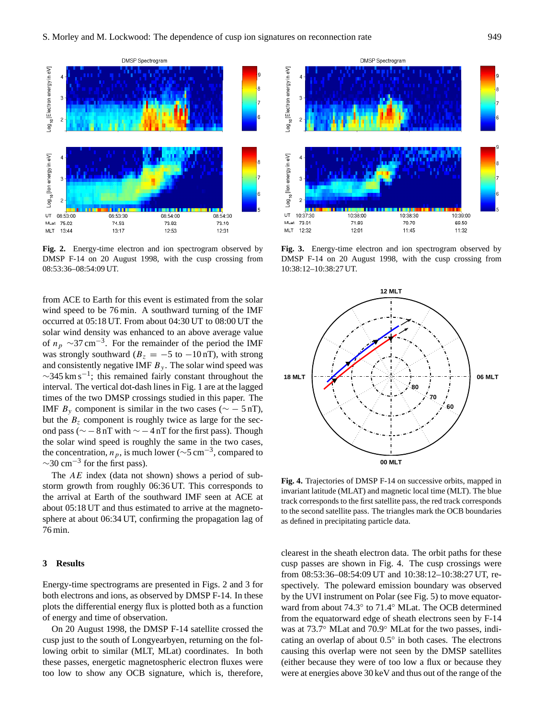

**Fig. 2.** Energy-time electron and ion spectrogram observed by DMSP F-14 on 20 August 1998, with the cusp crossing from 08:53:36–08:54:09 UT.

from ACE to Earth for this event is estimated from the solar wind speed to be 76 min. A southward turning of the IMF occurred at 05:18 UT. From about 04:30 UT to 08:00 UT the solar wind density was enhanced to an above average value of  $n_p \sim 37 \,\mathrm{cm}^{-3}$ . For the remainder of the period the IMF was strongly southward ( $B_z = -5$  to  $-10$  nT), with strong and consistently negative IMF  $B_y$ . The solar wind speed was  $\sim$ 345 km s<sup>-1</sup>; this remained fairly constant throughout the interval. The vertical dot-dash lines in Fig. 1 are at the lagged times of the two DMSP crossings studied in this paper. The IMF  $B_y$  component is similar in the two cases ( $\sim$  – 5 nT), but the  $B<sub>z</sub>$  component is roughly twice as large for the second pass ( $\sim$  − 8 nT with  $\sim$  − 4 nT for the first pass). Though the solar wind speed is roughly the same in the two cases, the concentration,  $n_p$ , is much lower ( $\sim$ 5 cm<sup>-3</sup>, compared to  $\sim$ 30 cm<sup>-3</sup> for the first pass).

The  $AE$  index (data not shown) shows a period of substorm growth from roughly 06:36 UT. This corresponds to the arrival at Earth of the southward IMF seen at ACE at about 05:18 UT and thus estimated to arrive at the magnetosphere at about 06:34 UT, confirming the propagation lag of 76 min.

# **3 Results**

Energy-time spectrograms are presented in Figs. 2 and 3 for both electrons and ions, as observed by DMSP F-14. In these plots the differential energy flux is plotted both as a function of energy and time of observation.

On 20 August 1998, the DMSP F-14 satellite crossed the cusp just to the south of Longyearbyen, returning on the following orbit to similar (MLT, MLat) coordinates. In both these passes, energetic magnetospheric electron fluxes were too low to show any OCB signature, which is, therefore,



**Fig. 3.** Energy-time electron and ion spectrogram observed by DMSP F-14 on 20 August 1998, with the cusp crossing from 10:38:12–10:38:27 UT.



**Fig. 4.** Trajectories of DMSP F-14 on successive orbits, mapped in invariant latitude (MLAT) and magnetic local time (MLT). The blue track corresponds to the first satellite pass, the red track corresponds to the second satellite pass. The triangles mark the OCB boundaries as defined in precipitating particle data.

clearest in the sheath electron data. The orbit paths for these cusp passes are shown in Fig. 4. The cusp crossings were from 08:53:36–08:54:09 UT and 10:38:12–10:38:27 UT, respectively. The poleward emission boundary was observed by the UVI instrument on Polar (see Fig. 5) to move equatorward from about 74.3° to 71.4° MLat. The OCB determined from the equatorward edge of sheath electrons seen by F-14 was at 73.7◦ MLat and 70.9◦ MLat for the two passes, indicating an overlap of about 0.5◦ in both cases. The electrons causing this overlap were not seen by the DMSP satellites (either because they were of too low a flux or because they were at energies above 30 keV and thus out of the range of the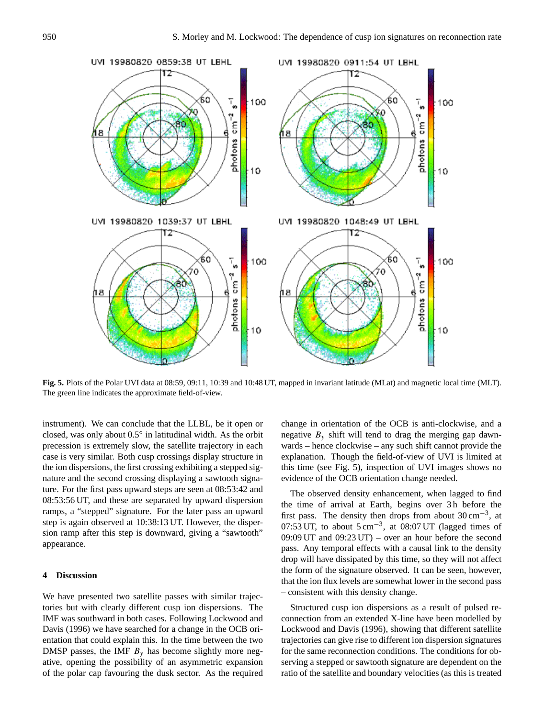

**Fig. 5.** Plots of the Polar UVI data at 08:59, 09:11, 10:39 and 10:48 UT, mapped in invariant latitude (MLat) and magnetic local time (MLT). The green line indicates the approximate field-of-view.

instrument). We can conclude that the LLBL, be it open or closed, was only about 0.5◦ in latitudinal width. As the orbit precession is extremely slow, the satellite trajectory in each case is very similar. Both cusp crossings display structure in the ion dispersions, the first crossing exhibiting a stepped signature and the second crossing displaying a sawtooth signature. For the first pass upward steps are seen at 08:53:42 and 08:53:56 UT, and these are separated by upward dispersion ramps, a "stepped" signature. For the later pass an upward step is again observed at 10:38:13 UT. However, the dispersion ramp after this step is downward, giving a "sawtooth" appearance.

# **4 Discussion**

We have presented two satellite passes with similar trajectories but with clearly different cusp ion dispersions. The IMF was southward in both cases. Following Lockwood and Davis (1996) we have searched for a change in the OCB orientation that could explain this. In the time between the two DMSP passes, the IMF  $B_y$  has become slightly more negative, opening the possibility of an asymmetric expansion of the polar cap favouring the dusk sector. As the required change in orientation of the OCB is anti-clockwise, and a negative  $B_y$  shift will tend to drag the merging gap dawnwards – hence clockwise – any such shift cannot provide the explanation. Though the field-of-view of UVI is limited at this time (see Fig. 5), inspection of UVI images shows no evidence of the OCB orientation change needed.

The observed density enhancement, when lagged to find the time of arrival at Earth, begins over 3 h before the first pass. The density then drops from about  $30 \text{ cm}^{-3}$ , at 07:53 UT, to about  $5 \text{ cm}^{-3}$ , at 08:07 UT (lagged times of 09:09 UT and 09:23 UT) – over an hour before the second pass. Any temporal effects with a causal link to the density drop will have dissipated by this time, so they will not affect the form of the signature observed. It can be seen, however, that the ion flux levels are somewhat lower in the second pass – consistent with this density change.

Structured cusp ion dispersions as a result of pulsed reconnection from an extended X-line have been modelled by Lockwood and Davis (1996), showing that different satellite trajectories can give rise to different ion dispersion signatures for the same reconnection conditions. The conditions for observing a stepped or sawtooth signature are dependent on the ratio of the satellite and boundary velocities (as this is treated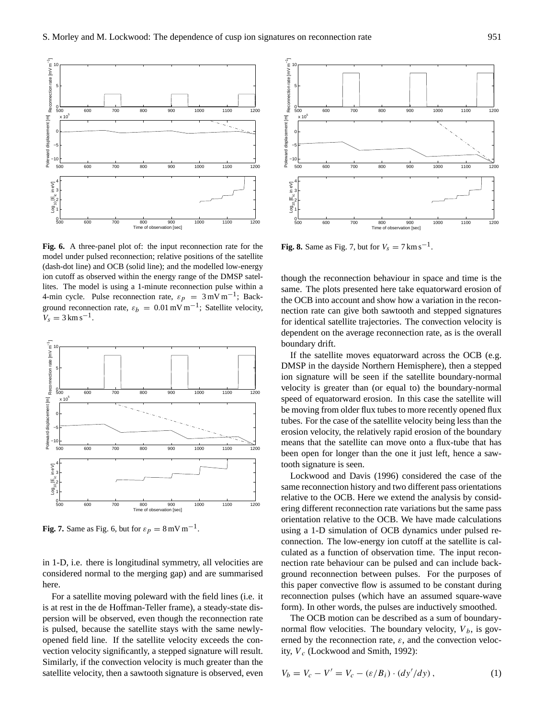

**Fig. 6.** A three-panel plot of: the input reconnection rate for the model under pulsed reconnection; relative positions of the satellite (dash-dot line) and OCB (solid line); and the modelled low-energy ion cutoff as observed within the energy range of the DMSP satellites. The model is using a 1-minute reconnection pulse within a 4-min cycle. Pulse reconnection rate,  $\varepsilon_p = 3 \text{ mV m}^{-1}$ ; Background reconnection rate,  $\varepsilon_b = 0.01 \text{ mV m}^{-1}$ ; Satellite velocity,  $V_s = 3 \text{ km s}^{-1}.$ 



**Fig. 7.** Same as Fig. 6, but for  $\varepsilon_p = 8$  mV m<sup>-1</sup>.

in 1-D, i.e. there is longitudinal symmetry, all velocities are considered normal to the merging gap) and are summarised here.

For a satellite moving poleward with the field lines (i.e. it is at rest in the de Hoffman-Teller frame), a steady-state dispersion will be observed, even though the reconnection rate is pulsed, because the satellite stays with the same newlyopened field line. If the satellite velocity exceeds the convection velocity significantly, a stepped signature will result. Similarly, if the convection velocity is much greater than the satellite velocity, then a sawtooth signature is observed, even



**Fig. 8.** Same as Fig. 7, but for  $V_s = 7 \text{ km s}^{-1}$ .

though the reconnection behaviour in space and time is the same. The plots presented here take equatorward erosion of the OCB into account and show how a variation in the reconnection rate can give both sawtooth and stepped signatures for identical satellite trajectories. The convection velocity is dependent on the average reconnection rate, as is the overall boundary drift.

If the satellite moves equatorward across the OCB (e.g. DMSP in the dayside Northern Hemisphere), then a stepped ion signature will be seen if the satellite boundary-normal velocity is greater than (or equal to) the boundary-normal speed of equatorward erosion. In this case the satellite will be moving from older flux tubes to more recently opened flux tubes. For the case of the satellite velocity being less than the erosion velocity, the relatively rapid erosion of the boundary means that the satellite can move onto a flux-tube that has been open for longer than the one it just left, hence a sawtooth signature is seen.

Lockwood and Davis (1996) considered the case of the same reconnection history and two different pass orientations relative to the OCB. Here we extend the analysis by considering different reconnection rate variations but the same pass orientation relative to the OCB. We have made calculations using a 1-D simulation of OCB dynamics under pulsed reconnection. The low-energy ion cutoff at the satellite is calculated as a function of observation time. The input reconnection rate behaviour can be pulsed and can include background reconnection between pulses. For the purposes of this paper convective flow is assumed to be constant during reconnection pulses (which have an assumed square-wave form). In other words, the pulses are inductively smoothed.

The OCB motion can be described as a sum of boundarynormal flow velocities. The boundary velocity,  $V_b$ , is governed by the reconnection rate,  $\varepsilon$ , and the convection velocity,  $V_c$  (Lockwood and Smith, 1992):

$$
V_b = V_c - V' = V_c - (\varepsilon/B_i) \cdot (dy'/dy), \qquad (1)
$$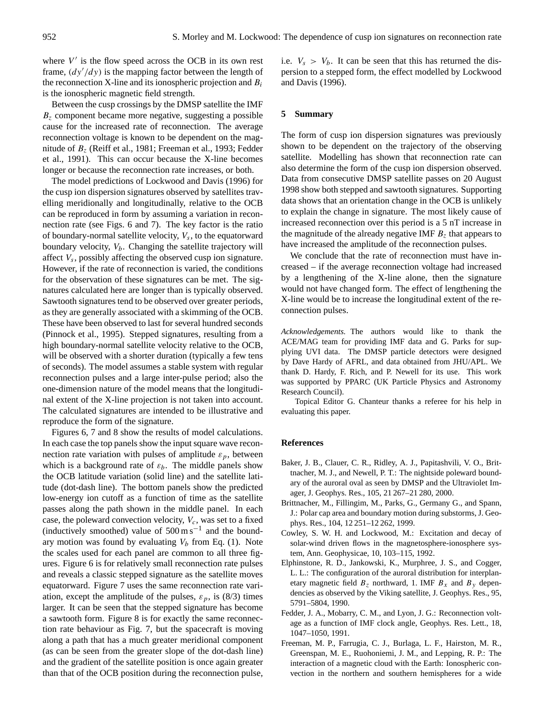where  $V'$  is the flow speed across the OCB in its own rest frame,  $\left(\frac{dy'}{dy}\right)$  is the mapping factor between the length of the reconnection X-line and its ionospheric projection and  $B_i$ is the ionospheric magnetic field strength.

Between the cusp crossings by the DMSP satellite the IMF  $B<sub>z</sub>$  component became more negative, suggesting a possible cause for the increased rate of reconnection. The average reconnection voltage is known to be dependent on the magnitude of  $B<sub>z</sub>$  (Reiff et al., 1981; Freeman et al., 1993; Fedder et al., 1991). This can occur because the X-line becomes longer or because the reconnection rate increases, or both.

The model predictions of Lockwood and Davis (1996) for the cusp ion dispersion signatures observed by satellites travelling meridionally and longitudinally, relative to the OCB can be reproduced in form by assuming a variation in reconnection rate (see Figs. 6 and 7). The key factor is the ratio of boundary-normal satellite velocity,  $V_s$ , to the equatorward boundary velocity,  $V_b$ . Changing the satellite trajectory will affect  $V_s$ , possibly affecting the observed cusp ion signature. However, if the rate of reconnection is varied, the conditions for the observation of these signatures can be met. The signatures calculated here are longer than is typically observed. Sawtooth signatures tend to be observed over greater periods, as they are generally associated with a skimming of the OCB. These have been observed to last for several hundred seconds (Pinnock et al., 1995). Stepped signatures, resulting from a high boundary-normal satellite velocity relative to the OCB, will be observed with a shorter duration (typically a few tens of seconds). The model assumes a stable system with regular reconnection pulses and a large inter-pulse period; also the one-dimension nature of the model means that the longitudinal extent of the X-line projection is not taken into account. The calculated signatures are intended to be illustrative and reproduce the form of the signature.

Figures 6, 7 and 8 show the results of model calculations. In each case the top panels show the input square wave reconnection rate variation with pulses of amplitude  $\varepsilon_p$ , between which is a background rate of  $\varepsilon_b$ . The middle panels show the OCB latitude variation (solid line) and the satellite latitude (dot-dash line). The bottom panels show the predicted low-energy ion cutoff as a function of time as the satellite passes along the path shown in the middle panel. In each case, the poleward convection velocity,  $V_c$ , was set to a fixed (inductively smoothed) value of  $500 \text{ m s}^{-1}$  and the boundary motion was found by evaluating  $V_b$  from Eq. (1). Note the scales used for each panel are common to all three figures. Figure 6 is for relatively small reconnection rate pulses and reveals a classic stepped signature as the satellite moves equatorward. Figure 7 uses the same reconnection rate variation, except the amplitude of the pulses,  $\varepsilon_p$ , is (8/3) times larger. It can be seen that the stepped signature has become a sawtooth form. Figure 8 is for exactly the same reconnection rate behaviour as Fig. 7, but the spacecraft is moving along a path that has a much greater meridional component (as can be seen from the greater slope of the dot-dash line) and the gradient of the satellite position is once again greater than that of the OCB position during the reconnection pulse, i.e.  $V_s > V_b$ . It can be seen that this has returned the dispersion to a stepped form, the effect modelled by Lockwood and Davis (1996).

#### **5 Summary**

The form of cusp ion dispersion signatures was previously shown to be dependent on the trajectory of the observing satellite. Modelling has shown that reconnection rate can also determine the form of the cusp ion dispersion observed. Data from consecutive DMSP satellite passes on 20 August 1998 show both stepped and sawtooth signatures. Supporting data shows that an orientation change in the OCB is unlikely to explain the change in signature. The most likely cause of increased reconnection over this period is a 5 nT increase in the magnitude of the already negative IMF  $B<sub>z</sub>$  that appears to have increased the amplitude of the reconnection pulses.

We conclude that the rate of reconnection must have increased – if the average reconnection voltage had increased by a lengthening of the X-line alone, then the signature would not have changed form. The effect of lengthening the X-line would be to increase the longitudinal extent of the reconnection pulses.

*Acknowledgements.* The authors would like to thank the ACE/MAG team for providing IMF data and G. Parks for supplying UVI data. The DMSP particle detectors were designed by Dave Hardy of AFRL, and data obtained from JHU/APL. We thank D. Hardy, F. Rich, and P. Newell for its use. This work was supported by PPARC (UK Particle Physics and Astronomy Research Council).

Topical Editor G. Chanteur thanks a referee for his help in evaluating this paper.

#### **References**

- Baker, J. B., Clauer, C. R., Ridley, A. J., Papitashvili, V. O., Brittnacher, M. J., and Newell, P. T.: The nightside poleward boundary of the auroral oval as seen by DMSP and the Ultraviolet Imager, J. Geophys. Res., 105, 21 267–21 280, 2000.
- Brittnacher, M., Fillingim, M., Parks, G., Germany G., and Spann, J.: Polar cap area and boundary motion during substorms, J. Geophys. Res., 104, 12 251–12 262, 1999.
- Cowley, S. W. H. and Lockwood, M.: Excitation and decay of solar-wind driven flows in the magnetosphere-ionosphere system, Ann. Geophysicae, 10, 103–115, 1992.
- Elphinstone, R. D., Jankowski, K., Murphree, J. S., and Cogger, L. L.: The configuration of the auroral distribution for interplanetary magnetic field  $B_z$  northward, 1. IMF  $B_x$  and  $B_y$  dependencies as observed by the Viking satellite, J. Geophys. Res., 95, 5791–5804, 1990.
- Fedder, J. A., Mobarry, C. M., and Lyon, J. G.: Reconnection voltage as a function of IMF clock angle, Geophys. Res. Lett., 18, 1047–1050, 1991.
- Freeman, M. P., Farrugia, C. J., Burlaga, L. F., Hairston, M. R., Greenspan, M. E., Ruohoniemi, J. M., and Lepping, R. P.: The interaction of a magnetic cloud with the Earth: Ionospheric convection in the northern and southern hemispheres for a wide